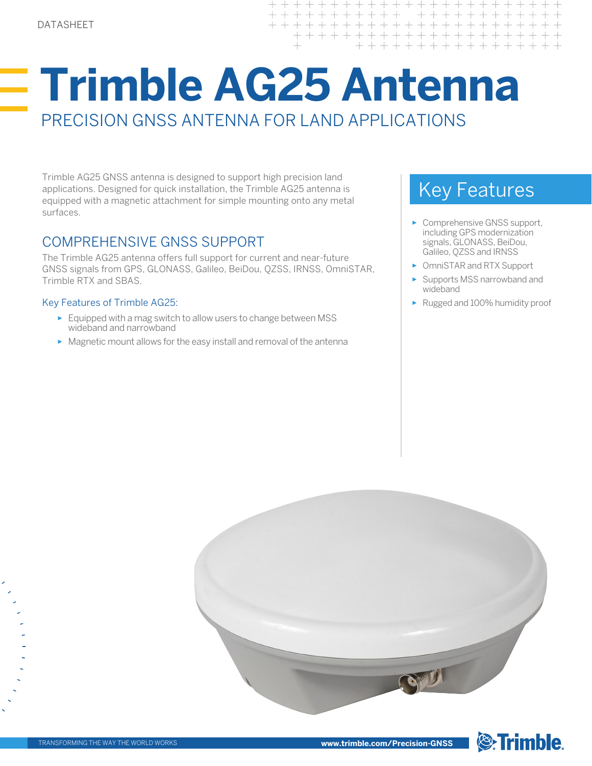# **Trimble AG25 Antenna** PRECISION GNSS ANTENNA FOR LAND APPLICATIONS

Trimble AG25 GNSS antenna is designed to support high precision land applications. Designed for quick installation, the Trimble AG25 antenna is equipped with a magnetic attachment for simple mounting onto any metal surfaces.

### COMPREHENSIVE GNSS SUPPORT

The Trimble AG25 antenna offers full support for current and near-future GNSS signals from GPS, GLONASS, Galileo, BeiDou, QZSS, IRNSS, OmniSTAR, Trimble RTX and SBAS.

#### Key Features of Trimble AG25:

- ► Equipped with a mag switch to allow users to change between MSS wideband and narrowband
- ► Magnetic mount allows for the easy install and removal of the antenna

## Key Features

 $\!+\!$ 

- ► Comprehensive GNSS support, including GPS modernization signals, GLONASS, BeiDou, Galileo, QZSS and IRNSS
- ► OmniSTAR and RTX Support
- ► Supports MSS narrowband and wideband
- ► Rugged and 100% humidity proof

**S**Trimble.